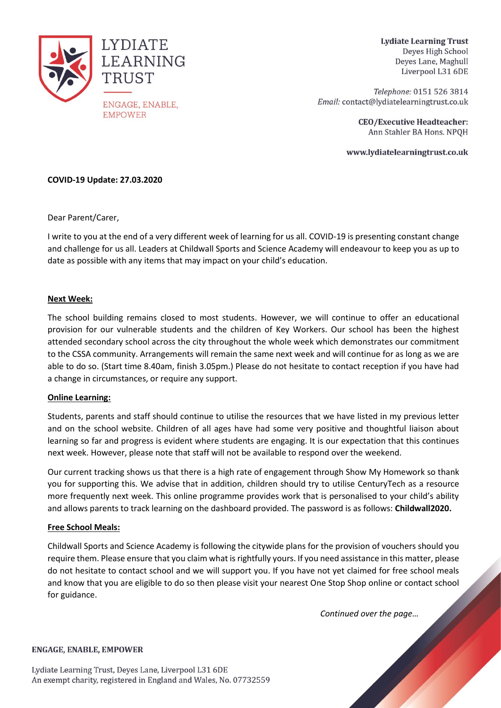

**Lydiate Learning Trust** Deyes High School Deves Lane, Maghull Liverpool L31 6DE

Telephone: 0151 526 3814 Email: contact@lydiatelearningtrust.co.uk

> **CEO/Executive Headteacher:** Ann Stahler BA Hons. NPQH

www.lydiatelearningtrust.co.uk

# **COVID-19 Update: 27.03.2020**

Dear Parent/Carer,

I write to you at the end of a very different week of learning for us all. COVID-19 is presenting constant change and challenge for us all. Leaders at Childwall Sports and Science Academy will endeavour to keep you as up to date as possible with any items that may impact on your child's education.

# **Next Week:**

The school building remains closed to most students. However, we will continue to offer an educational provision for our vulnerable students and the children of Key Workers. Our school has been the highest attended secondary school across the city throughout the whole week which demonstrates our commitment to the CSSA community. Arrangements will remain the same next week and will continue for as long as we are able to do so. (Start time 8.40am, finish 3.05pm.) Please do not hesitate to contact reception if you have had a change in circumstances, or require any support.

### **Online Learning:**

Students, parents and staff should continue to utilise the resources that we have listed in my previous letter and on the school website. Children of all ages have had some very positive and thoughtful liaison about learning so far and progress is evident where students are engaging. It is our expectation that this continues next week. However, please note that staff will not be available to respond over the weekend.

Our current tracking shows us that there is a high rate of engagement through Show My Homework so thank you for supporting this. We advise that in addition, children should try to utilise CenturyTech as a resource more frequently next week. This online programme provides work that is personalised to your child's ability and allows parents to track learning on the dashboard provided. The password is as follows: **Childwall2020.**

### **Free School Meals:**

Childwall Sports and Science Academy is following the citywide plans for the provision of vouchers should you require them. Please ensure that you claim what is rightfully yours. If you need assistance in this matter, please do not hesitate to contact school and we will support you. If you have not yet claimed for free school meals and know that you are eligible to do so then please visit your nearest One Stop Shop online or contact school for guidance.

*Continued over the page…*

### **ENGAGE, ENABLE, EMPOWER**

Lydiate Learning Trust, Deyes Lane, Liverpool L31 6DE An exempt charity, registered in England and Wales, No. 07732559